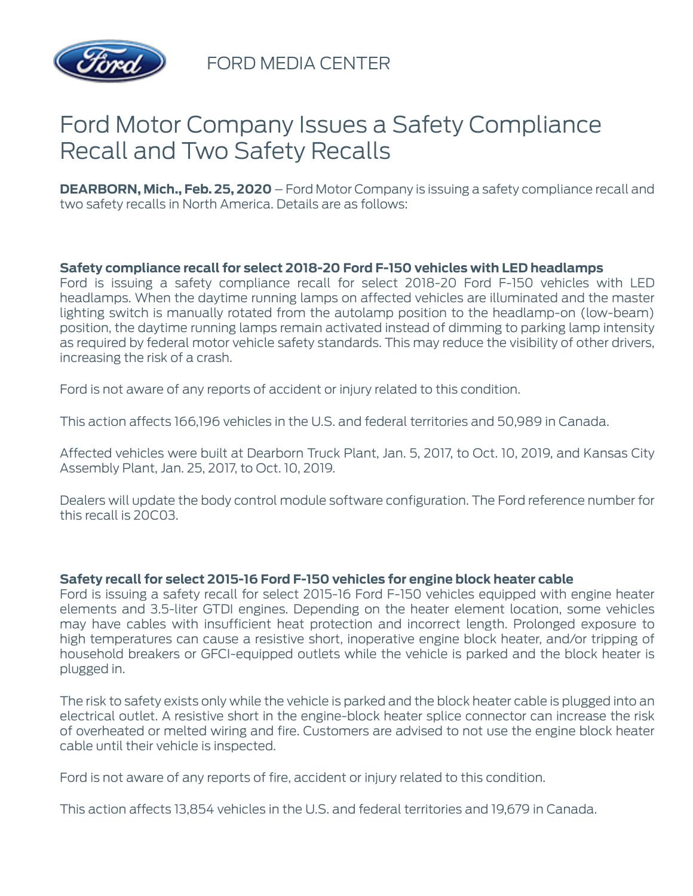

FORD MEDIA CENTER

# Ford Motor Company Issues a Safety Compliance Recall and Two Safety Recalls

**DEARBORN, Mich., Feb. 25, 2020** – Ford Motor Company is issuing a safety compliance recall and two safety recalls in North America. Details are as follows:

### **Safety compliance recall for select 2018-20 Ford F-150 vehicles with LED headlamps**

Ford is issuing a safety compliance recall for select 2018-20 Ford F-150 vehicles with LED headlamps. When the daytime running lamps on affected vehicles are illuminated and the master lighting switch is manually rotated from the autolamp position to the headlamp-on (low-beam) position, the daytime running lamps remain activated instead of dimming to parking lamp intensity as required by federal motor vehicle safety standards. This may reduce the visibility of other drivers, increasing the risk of a crash.

Ford is not aware of any reports of accident or injury related to this condition.

This action affects 166,196 vehicles in the U.S. and federal territories and 50,989 in Canada.

Affected vehicles were built at Dearborn Truck Plant, Jan. 5, 2017, to Oct. 10, 2019, and Kansas City Assembly Plant, Jan. 25, 2017, to Oct. 10, 2019.

Dealers will update the body control module software configuration. The Ford reference number for this recall is 20C03.

### **Safety recall for select 2015-16 Ford F-150 vehicles for engine block heater cable**

Ford is issuing a safety recall for select 2015-16 Ford F-150 vehicles equipped with engine heater elements and 3.5-liter GTDI engines. Depending on the heater element location, some vehicles may have cables with insufficient heat protection and incorrect length. Prolonged exposure to high temperatures can cause a resistive short, inoperative engine block heater, and/or tripping of household breakers or GFCI-equipped outlets while the vehicle is parked and the block heater is plugged in.

The risk to safety exists only while the vehicle is parked and the block heater cable is plugged into an electrical outlet. A resistive short in the engine-block heater splice connector can increase the risk of overheated or melted wiring and fire. Customers are advised to not use the engine block heater cable until their vehicle is inspected.

Ford is not aware of any reports of fire, accident or injury related to this condition.

This action affects 13,854 vehicles in the U.S. and federal territories and 19,679 in Canada.